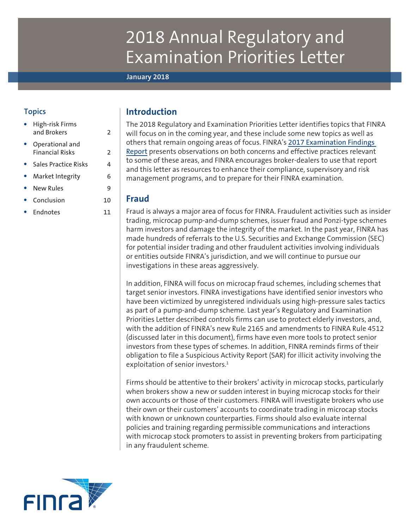# 2018 Annual Regulatory and Examination Priorities Letter

#### **January 2018**

# **Topics**

- [High-risk Firms](#page-1-0)  [and Brokers](#page-1-0) 2 ● [Operational and](#page-1-0)  [Financial Risks](#page-1-0) 2 [Sales Practice Risks](#page-3-0) 4
- [Market Integrity](#page-5-0) 6
- [New Rules](#page-8-0) 9
- [Conclusion](#page-9-0) 10
- [Endnotes](#page-10-0) 11

# **Introduction**

The 2018 Regulatory and Examination Priorities Letter identifies topics that FINRA will focus on in the coming year, and these include some new topics as well as others that remain ongoing areas of focus. FINRA's 2017 [Examination Findings](http://www.finra.org/industry/2017-report-exam-findings)  [Report](http://www.finra.org/industry/2017-report-exam-findings) presents observations on both concerns and effective practices relevant to some of these areas, and FINRA encourages broker-dealers to use that report and this letter as resources to enhance their compliance, supervisory and risk management programs, and to prepare for their FINRA examination.

## **Fraud**

Fraud is always a major area of focus for FINRA. Fraudulent activities such as insider trading, microcap pump-and-dump schemes, issuer fraud and Ponzi-type schemes harm investors and damage the integrity of the market. In the past year, FINRA has made hundreds of referrals to the U.S. Securities and Exchange Commission (SEC) for potential insider trading and other fraudulent activities involving individuals or entities outside FINRA's jurisdiction, and we will continue to pursue our investigations in these areas aggressively.

In addition, FINRA will focus on microcap fraud schemes, including schemes that target senior investors. FINRA investigations have identified senior investors who have been victimized by unregistered individuals using high-pressure sales tactics as part of a pump-and-dump scheme. Last year's Regulatory and Examination Priorities Letter described controls firms can use to protect elderly investors, and, with the addition of FINRA's new Rule 2165 and amendments to FINRA Rule 4512 (discussed later in this document), firms have even more tools to protect senior investors from these types of schemes. In addition, FINRA reminds firms of their obligation to file a Suspicious Activity Report (SAR) for illicit activity involving the exploitation of senior investors.<sup>1</sup>

Firms should be attentive to their brokers' activity in microcap stocks, particularly when brokers show a new or sudden interest in buying microcap stocks for their own accounts or those of their customers. FINRA will investigate brokers who use their own or their customers' accounts to coordinate trading in microcap stocks with known or unknown counterparties. Firms should also evaluate internal policies and training regarding permissible communications and interactions with microcap stock promoters to assist in preventing brokers from participating in any fraudulent scheme.

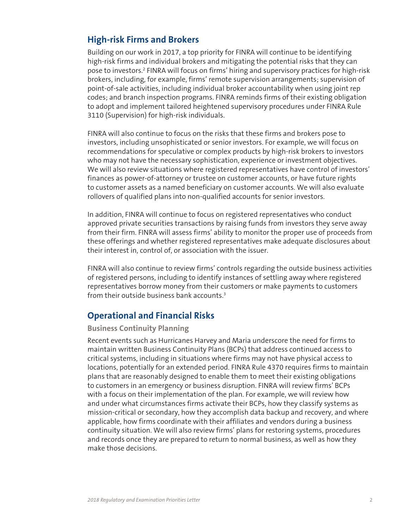# <span id="page-1-0"></span>**High-risk Firms and Brokers**

Building on our work in 2017, a top priority for FINRA will continue to be identifying high-risk firms and individual brokers and mitigating the potential risks that they can pose to investors.<sup>2</sup> FINRA will focus on firms' hiring and supervisory practices for high-risk brokers, including, for example, firms' remote supervision arrangements; supervision of point-of-sale activities, including individual broker accountability when using joint rep codes; and branch inspection programs. FINRA reminds firms of their existing obligation to adopt and implement tailored heightened supervisory procedures under FINRA Rule 3110 (Supervision) for high-risk individuals.

FINRA will also continue to focus on the risks that these firms and brokers pose to investors, including unsophisticated or senior investors. For example, we will focus on recommendations for speculative or complex products by high-risk brokers to investors who may not have the necessary sophistication, experience or investment objectives. We will also review situations where registered representatives have control of investors' finances as power-of-attorney or trustee on customer accounts, or have future rights to customer assets as a named beneficiary on customer accounts. We will also evaluate rollovers of qualified plans into non-qualified accounts for senior investors.

In addition, FINRA will continue to focus on registered representatives who conduct approved private securities transactions by raising funds from investors they serve away from their firm. FINRA will assess firms' ability to monitor the proper use of proceeds from these offerings and whether registered representatives make adequate disclosures about their interest in, control of, or association with the issuer.

FINRA will also continue to review firms' controls regarding the outside business activities of registered persons, including to identify instances of settling away where registered representatives borrow money from their customers or make payments to customers from their outside business bank accounts.<sup>3</sup>

# **Operational and Financial Risks**

## **Business Continuity Planning**

Recent events such as Hurricanes Harvey and Maria underscore the need for firms to maintain written Business Continuity Plans (BCPs) that address continued access to critical systems, including in situations where firms may not have physical access to locations, potentially for an extended period. FINRA Rule 4370 requires firms to maintain plans that are reasonably designed to enable them to meet their existing obligations to customers in an emergency or business disruption. FINRA will review firms' BCPs with a focus on their implementation of the plan. For example, we will review how and under what circumstances firms activate their BCPs, how they classify systems as mission-critical or secondary, how they accomplish data backup and recovery, and where applicable, how firms coordinate with their affiliates and vendors during a business continuity situation. We will also review firms' plans for restoring systems, procedures and records once they are prepared to return to normal business, as well as how they make those decisions.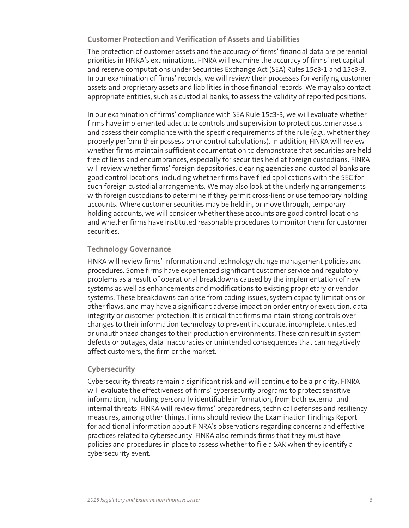**Customer Protection and Verification of Assets and Liabilities**

The protection of customer assets and the accuracy of firms' financial data are perennial priorities in FINRA's examinations. FINRA will examine the accuracy of firms' net capital and reserve computations under Securities Exchange Act (SEA) Rules 15c3-1 and 15c3-3. In our examination of firms' records, we will review their processes for verifying customer assets and proprietary assets and liabilities in those financial records. We may also contact appropriate entities, such as custodial banks, to assess the validity of reported positions.

In our examination of firms' compliance with SEA Rule 15c3-3, we will evaluate whether firms have implemented adequate controls and supervision to protect customer assets and assess their compliance with the specific requirements of the rule (*e.g.,* whether they properly perform their possession or control calculations). In addition, FINRA will review whether firms maintain sufficient documentation to demonstrate that securities are held free of liens and encumbrances, especially for securities held at foreign custodians. FINRA will review whether firms' foreign depositories, clearing agencies and custodial banks are good control locations, including whether firms have filed applications with the SEC for such foreign custodial arrangements. We may also look at the underlying arrangements with foreign custodians to determine if they permit cross-liens or use temporary holding accounts. Where customer securities may be held in, or move through, temporary holding accounts, we will consider whether these accounts are good control locations and whether firms have instituted reasonable procedures to monitor them for customer securities.

## **Technology Governance**

FINRA will review firms' information and technology change management policies and procedures. Some firms have experienced significant customer service and regulatory problems as a result of operational breakdowns caused by the implementation of new systems as well as enhancements and modifications to existing proprietary or vendor systems. These breakdowns can arise from coding issues, system capacity limitations or other flaws, and may have a significant adverse impact on order entry or execution, data integrity or customer protection. It is critical that firms maintain strong controls over changes to their information technology to prevent inaccurate, incomplete, untested or unauthorized changes to their production environments. These can result in system defects or outages, data inaccuracies or unintended consequences that can negatively affect customers, the firm or the market.

## **Cybersecurity**

Cybersecurity threats remain a significant risk and will continue to be a priority. FINRA will evaluate the effectiveness of firms' cybersecurity programs to protect sensitive information, including personally identifiable information, from both external and internal threats. FINRA will review firms' preparedness, technical defenses and resiliency measures, among other things. Firms should review the Examination Findings Report for additional information about FINRA's observations regarding concerns and effective practices related to cybersecurity. FINRA also reminds firms that they must have policies and procedures in place to assess whether to file a SAR when they identify a cybersecurity event.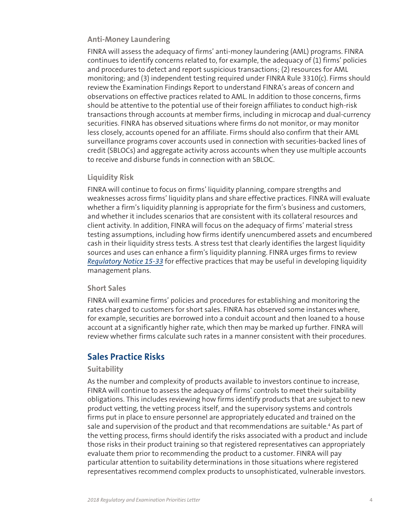## <span id="page-3-0"></span>**Anti-Money Laundering**

FINRA will assess the adequacy of firms' anti-money laundering (AML) programs. FINRA continues to identify concerns related to, for example, the adequacy of (1) firms' policies and procedures to detect and report suspicious transactions; (2) resources for AML monitoring; and (3) independent testing required under FINRA Rule 3310(c). Firms should review the Examination Findings Report to understand FINRA's areas of concern and observations on effective practices related to AML. In addition to those concerns, firms should be attentive to the potential use of their foreign affiliates to conduct high-risk transactions through accounts at member firms, including in microcap and dual-currency securities. FINRA has observed situations where firms do not monitor, or may monitor less closely, accounts opened for an affiliate. Firms should also confirm that their AML surveillance programs cover accounts used in connection with securities-backed lines of credit (SBLOCs) and aggregate activity across accounts when they use multiple accounts to receive and disburse funds in connection with an SBLOC.

## **Liquidity Risk**

FINRA will continue to focus on firms' liquidity planning, compare strengths and weaknesses across firms' liquidity plans and share effective practices. FINRA will evaluate whether a firm's liquidity planning is appropriate for the firm's business and customers, and whether it includes scenarios that are consistent with its collateral resources and client activity. In addition, FINRA will focus on the adequacy of firms' material stress testing assumptions, including how firms identify unencumbered assets and encumbered cash in their liquidity stress tests. A stress test that clearly identifies the largest liquidity sources and uses can enhance a firm's liquidity planning. FINRA urges firms to review *[Regulatory Notice 15-33](http://www.finra.org/industry/notices/15-33)* for effective practices that may be useful in developing liquidity management plans.

#### **Short Sales**

FINRA will examine firms' policies and procedures for establishing and monitoring the rates charged to customers for short sales. FINRA has observed some instances where, for example, securities are borrowed into a conduit account and then loaned to a house account at a significantly higher rate, which then may be marked up further. FINRA will review whether firms calculate such rates in a manner consistent with their procedures.

# **Sales Practice Risks**

#### **Suitability**

As the number and complexity of products available to investors continue to increase, FINRA will continue to assess the adequacy of firms' controls to meet their suitability obligations. This includes reviewing how firms identify products that are subject to new product vetting, the vetting process itself, and the supervisory systems and controls firms put in place to ensure personnel are appropriately educated and trained on the sale and supervision of the product and that recommendations are suitable.<sup>4</sup> As part of the vetting process, firms should identify the risks associated with a product and include those risks in their product training so that registered representatives can appropriately evaluate them prior to recommending the product to a customer. FINRA will pay particular attention to suitability determinations in those situations where registered representatives recommend complex products to unsophisticated, vulnerable investors.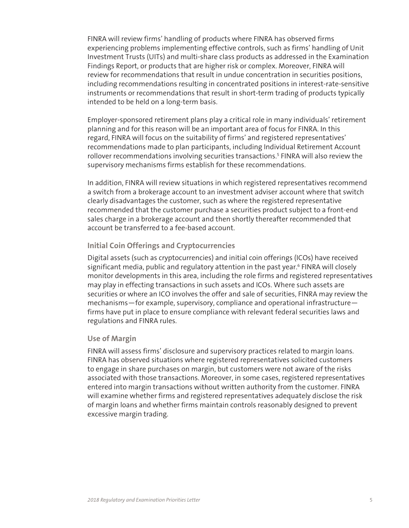FINRA will review firms' handling of products where FINRA has observed firms experiencing problems implementing effective controls, such as firms' handling of Unit Investment Trusts (UITs) and multi-share class products as addressed in the Examination Findings Report, or products that are higher risk or complex. Moreover, FINRA will review for recommendations that result in undue concentration in securities positions, including recommendations resulting in concentrated positions in interest-rate-sensitive instruments or recommendations that result in short-term trading of products typically intended to be held on a long-term basis.

Employer-sponsored retirement plans play a critical role in many individuals' retirement planning and for this reason will be an important area of focus for FINRA. In this regard, FINRA will focus on the suitability of firms' and registered representatives' recommendations made to plan participants, including Individual Retirement Account rollover recommendations involving securities transactions.<sup>5</sup> FINRA will also review the supervisory mechanisms firms establish for these recommendations.

In addition, FINRA will review situations in which registered representatives recommend a switch from a brokerage account to an investment adviser account where that switch clearly disadvantages the customer, such as where the registered representative recommended that the customer purchase a securities product subject to a front-end sales charge in a brokerage account and then shortly thereafter recommended that account be transferred to a fee-based account.

## **Initial Coin Offerings and Cryptocurrencies**

Digital assets (such as cryptocurrencies) and initial coin offerings (ICOs) have received significant media, public and regulatory attention in the past year.<sup>6</sup> FINRA will closely monitor developments in this area, including the role firms and registered representatives may play in effecting transactions in such assets and ICOs. Where such assets are securities or where an ICO involves the offer and sale of securities, FINRA may review the mechanisms—for example, supervisory, compliance and operational infrastructure firms have put in place to ensure compliance with relevant federal securities laws and regulations and FINRA rules.

#### **Use of Margin**

FINRA will assess firms' disclosure and supervisory practices related to margin loans. FINRA has observed situations where registered representatives solicited customers to engage in share purchases on margin, but customers were not aware of the risks associated with those transactions. Moreover, in some cases, registered representatives entered into margin transactions without written authority from the customer. FINRA will examine whether firms and registered representatives adequately disclose the risk of margin loans and whether firms maintain controls reasonably designed to prevent excessive margin trading.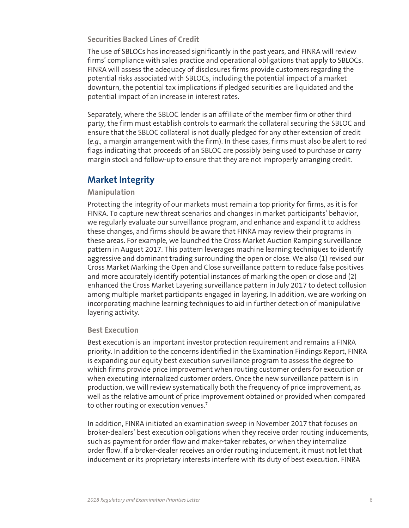## <span id="page-5-0"></span>**Securities Backed Lines of Credit**

The use of SBLOCs has increased significantly in the past years, and FINRA will review firms' compliance with sales practice and operational obligations that apply to SBLOCs. FINRA will assess the adequacy of disclosures firms provide customers regarding the potential risks associated with SBLOCs, including the potential impact of a market downturn, the potential tax implications if pledged securities are liquidated and the potential impact of an increase in interest rates.

Separately, where the SBLOC lender is an affiliate of the member firm or other third party, the firm must establish controls to earmark the collateral securing the SBLOC and ensure that the SBLOC collateral is not dually pledged for any other extension of credit (*e.g.,* a margin arrangement with the firm). In these cases, firms must also be alert to red flags indicating that proceeds of an SBLOC are possibly being used to purchase or carry margin stock and follow-up to ensure that they are not improperly arranging credit.

# **Market Integrity**

## **Manipulation**

Protecting the integrity of our markets must remain a top priority for firms, as it is for FINRA. To capture new threat scenarios and changes in market participants' behavior, we regularly evaluate our surveillance program, and enhance and expand it to address these changes, and firms should be aware that FINRA may review their programs in these areas. For example, we launched the Cross Market Auction Ramping surveillance pattern in August 2017. This pattern leverages machine learning techniques to identify aggressive and dominant trading surrounding the open or close. We also (1) revised our Cross Market Marking the Open and Close surveillance pattern to reduce false positives and more accurately identify potential instances of marking the open or close and (2) enhanced the Cross Market Layering surveillance pattern in July 2017 to detect collusion among multiple market participants engaged in layering. In addition, we are working on incorporating machine learning techniques to aid in further detection of manipulative layering activity.

## **Best Execution**

Best execution is an important investor protection requirement and remains a FINRA priority. In addition to the concerns identified in the Examination Findings Report, FINRA is expanding our equity best execution surveillance program to assess the degree to which firms provide price improvement when routing customer orders for execution or when executing internalized customer orders. Once the new surveillance pattern is in production, we will review systematically both the frequency of price improvement, as well as the relative amount of price improvement obtained or provided when compared to other routing or execution venues.<sup>7</sup>

In addition, FINRA initiated an examination sweep in November 2017 that focuses on broker-dealers' best execution obligations when they receive order routing inducements, such as payment for order flow and maker-taker rebates, or when they internalize order flow. If a broker-dealer receives an order routing inducement, it must not let that inducement or its proprietary interests interfere with its duty of best execution. FINRA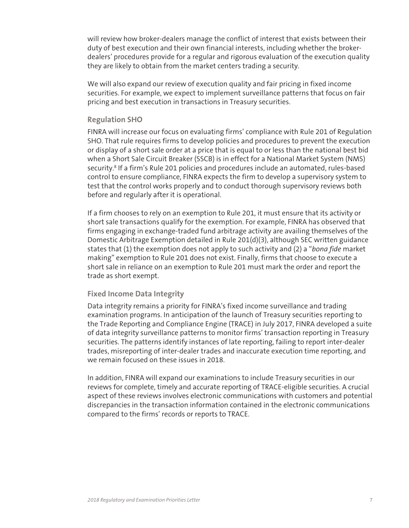will review how broker-dealers manage the conflict of interest that exists between their duty of best execution and their own financial interests, including whether the brokerdealers' procedures provide for a regular and rigorous evaluation of the execution quality they are likely to obtain from the market centers trading a security.

We will also expand our review of execution quality and fair pricing in fixed income securities. For example, we expect to implement surveillance patterns that focus on fair pricing and best execution in transactions in Treasury securities.

#### **Regulation SHO**

FINRA will increase our focus on evaluating firms' compliance with Rule 201 of Regulation SHO. That rule requires firms to develop policies and procedures to prevent the execution or display of a short sale order at a price that is equal to or less than the national best bid when a Short Sale Circuit Breaker (SSCB) is in effect for a National Market System (NMS) security.<sup>8</sup> If a firm's Rule 201 policies and procedures include an automated, rules-based control to ensure compliance, FINRA expects the firm to develop a supervisory system to test that the control works properly and to conduct thorough supervisory reviews both before and regularly after it is operational.

If a firm chooses to rely on an exemption to Rule 201, it must ensure that its activity or short sale transactions qualify for the exemption. For example, FINRA has observed that firms engaging in exchange-traded fund arbitrage activity are availing themselves of the Domestic Arbitrage Exemption detailed in Rule 201(d)(3), although SEC written guidance states that (1) the exemption does not apply to such activity and (2) a "*bona fide* market making" exemption to Rule 201 does not exist. Finally, firms that choose to execute a short sale in reliance on an exemption to Rule 201 must mark the order and report the trade as short exempt.

#### **Fixed Income Data Integrity**

Data integrity remains a priority for FINRA's fixed income surveillance and trading examination programs. In anticipation of the launch of Treasury securities reporting to the Trade Reporting and Compliance Engine (TRACE) in July 2017, FINRA developed a suite of data integrity surveillance patterns to monitor firms' transaction reporting in Treasury securities. The patterns identify instances of late reporting, failing to report inter-dealer trades, misreporting of inter-dealer trades and inaccurate execution time reporting, and we remain focused on these issues in 2018.

In addition, FINRA will expand our examinations to include Treasury securities in our reviews for complete, timely and accurate reporting of TRACE-eligible securities. A crucial aspect of these reviews involves electronic communications with customers and potential discrepancies in the transaction information contained in the electronic communications compared to the firms' records or reports to TRACE.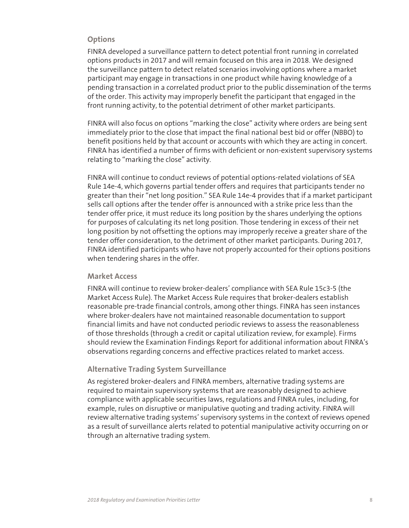#### **Options**

FINRA developed a surveillance pattern to detect potential front running in correlated options products in 2017 and will remain focused on this area in 2018. We designed the surveillance pattern to detect related scenarios involving options where a market participant may engage in transactions in one product while having knowledge of a pending transaction in a correlated product prior to the public dissemination of the terms of the order. This activity may improperly benefit the participant that engaged in the front running activity, to the potential detriment of other market participants.

FINRA will also focus on options "marking the close" activity where orders are being sent immediately prior to the close that impact the final national best bid or offer (NBBO) to benefit positions held by that account or accounts with which they are acting in concert. FINRA has identified a number of firms with deficient or non-existent supervisory systems relating to "marking the close" activity.

FINRA will continue to conduct reviews of potential options-related violations of SEA Rule 14e-4, which governs partial tender offers and requires that participants tender no greater than their "net long position." SEA Rule 14e-4 provides that if a market participant sells call options after the tender offer is announced with a strike price less than the tender offer price, it must reduce its long position by the shares underlying the options for purposes of calculating its net long position. Those tendering in excess of their net long position by not offsetting the options may improperly receive a greater share of the tender offer consideration, to the detriment of other market participants. During 2017, FINRA identified participants who have not properly accounted for their options positions when tendering shares in the offer.

## **Market Access**

FINRA will continue to review broker-dealers' compliance with SEA Rule 15c3-5 (the Market Access Rule). The Market Access Rule requires that broker-dealers establish reasonable pre-trade financial controls, among other things. FINRA has seen instances where broker-dealers have not maintained reasonable documentation to support financial limits and have not conducted periodic reviews to assess the reasonableness of those thresholds (through a credit or capital utilization review, for example). Firms should review the Examination Findings Report for additional information about FINRA's observations regarding concerns and effective practices related to market access.

#### **Alternative Trading System Surveillance**

As registered broker-dealers and FINRA members, alternative trading systems are required to maintain supervisory systems that are reasonably designed to achieve compliance with applicable securities laws, regulations and FINRA rules, including, for example, rules on disruptive or manipulative quoting and trading activity. FINRA will review alternative trading systems' supervisory systems in the context of reviews opened as a result of surveillance alerts related to potential manipulative activity occurring on or through an alternative trading system.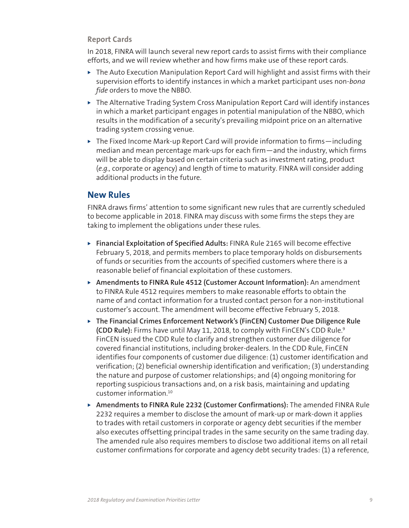## <span id="page-8-0"></span>**Report Cards**

In 2018, FINRA will launch several new report cards to assist firms with their compliance efforts, and we will review whether and how firms make use of these report cards.

- $\triangleright$  The Auto Execution Manipulation Report Card will highlight and assist firms with their supervision efforts to identify instances in which a market participant uses non-*bona fide* orders to move the NBBO.
- $\triangleright$  The Alternative Trading System Cross Manipulation Report Card will identify instances in which a market participant engages in potential manipulation of the NBBO, which results in the modification of a security's prevailing midpoint price on an alternative trading system crossing venue.
- $\triangleright$  The Fixed Income Mark-up Report Card will provide information to firms—including median and mean percentage mark-ups for each firm—and the industry, which firms will be able to display based on certain criteria such as investment rating, product (*e.g.,* corporate or agency) and length of time to maturity. FINRA will consider adding additional products in the future.

# **New Rules**

FINRA draws firms' attention to some significant new rules that are currently scheduled to become applicable in 2018. FINRA may discuss with some firms the steps they are taking to implement the obligations under these rules.

- ▶ Financial Exploitation of Specified Adults: FINRA Rule 2165 will become effective February 5, 2018, and permits members to place temporary holds on disbursements of funds or securities from the accounts of specified customers where there is a reasonable belief of financial exploitation of these customers.
- ▶ Amendments to FINRA Rule 4512 (Customer Account Information): An amendment to FINRA Rule 4512 requires members to make reasonable efforts to obtain the name of and contact information for a trusted contact person for a non-institutional customer's account. The amendment will become effective February 5, 2018.
- ▶ The Financial Crimes Enforcement Network's (FinCEN) Customer Due Diligence Rule **(CDD Rule):** Firms have until May 11, 2018, to comply with FinCEN's CDD Rule.9 FinCEN issued the CDD Rule to clarify and strengthen customer due diligence for covered financial institutions, including broker-dealers. In the CDD Rule, FinCEN identifies four components of customer due diligence: (1) customer identification and verification; (2) beneficial ownership identification and verification; (3) understanding the nature and purpose of customer relationships; and (4) ongoing monitoring for reporting suspicious transactions and, on a risk basis, maintaining and updating customer information.10
- ▶ Amendments to FINRA Rule 2232 (Customer Confirmations): The amended FINRA Rule 2232 requires a member to disclose the amount of mark-up or mark-down it applies to trades with retail customers in corporate or agency debt securities if the member also executes offsetting principal trades in the same security on the same trading day. The amended rule also requires members to disclose two additional items on all retail customer confirmations for corporate and agency debt security trades: (1) a reference,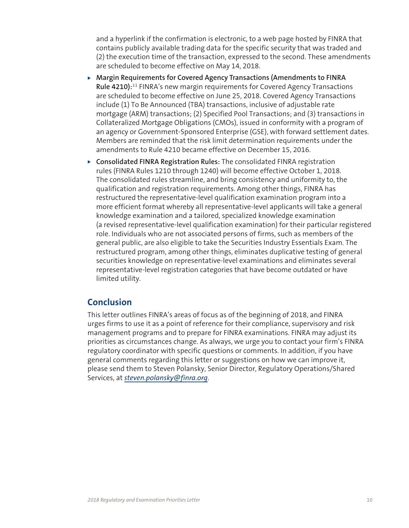<span id="page-9-0"></span>and a hyperlink if the confirmation is electronic, to a web page hosted by FINRA that contains publicly available trading data for the specific security that was traded and (2) the execution time of the transaction, expressed to the second. These amendments are scheduled to become effective on May 14, 2018.

- ▶ Margin Requirements for Covered Agency Transactions (Amendments to FINRA **Rule 4210):**11 FINRA's new margin requirements for Covered Agency Transactions are scheduled to become effective on June 25, 2018. Covered Agency Transactions include (1) To Be Announced (TBA) transactions, inclusive of adjustable rate mortgage (ARM) transactions; (2) Specified Pool Transactions; and (3) transactions in Collateralized Mortgage Obligations (CMOs), issued in conformity with a program of an agency or Government-Sponsored Enterprise (GSE), with forward settlement dates. Members are reminded that the risk limit determination requirements under the amendments to Rule 4210 became effective on December 15, 2016.
- ▶ Consolidated FINRA Registration Rules: The consolidated FINRA registration rules (FINRA Rules 1210 through 1240) will become effective October 1, 2018. The consolidated rules streamline, and bring consistency and uniformity to, the qualification and registration requirements. Among other things, FINRA has restructured the representative-level qualification examination program into a more efficient format whereby all representative-level applicants will take a general knowledge examination and a tailored, specialized knowledge examination (a revised representative-level qualification examination) for their particular registered role. Individuals who are not associated persons of firms, such as members of the general public, are also eligible to take the Securities Industry Essentials Exam. The restructured program, among other things, eliminates duplicative testing of general securities knowledge on representative-level examinations and eliminates several representative-level registration categories that have become outdated or have limited utility.

# **Conclusion**

This letter outlines FINRA's areas of focus as of the beginning of 2018, and FINRA urges firms to use it as a point of reference for their compliance, supervisory and risk management programs and to prepare for FINRA examinations. FINRA may adjust its priorities as circumstances change. As always, we urge you to contact your firm's FINRA regulatory coordinator with specific questions or comments. In addition, if you have general comments regarding this letter or suggestions on how we can improve it, please send them to Steven Polansky, Senior Director, Regulatory Operations/Shared Services, at *steven.polansky@finra.org*.